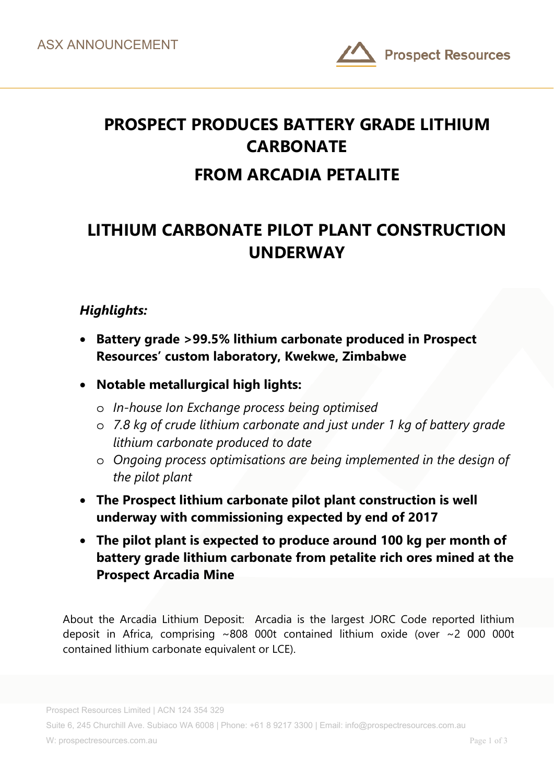

# **PROSPECT PRODUCES BATTERY GRADE LITHIUM CARBONATE FROM ARCADIA PETALITE**

# **LITHIUM CARBONATE PILOT PLANT CONSTRUCTION UNDERWAY**

## *Highlights:*

- **Battery grade >99.5% lithium carbonate produced in Prospect Resources' custom laboratory, Kwekwe, Zimbabwe**
- **Notable metallurgical high lights:**
	- o *In-house Ion Exchange process being optimised*
	- o *7.8 kg of crude lithium carbonate and just under 1 kg of battery grade lithium carbonate produced to date*
	- o *Ongoing process optimisations are being implemented in the design of the pilot plant*
- **The Prospect lithium carbonate pilot plant construction is well underway with commissioning expected by end of 2017**
- **The pilot plant is expected to produce around 100 kg per month of battery grade lithium carbonate from petalite rich ores mined at the Prospect Arcadia Mine**

About the Arcadia Lithium Deposit: Arcadia is the largest JORC Code reported lithium deposit in Africa, comprising ~808 000t contained lithium oxide (over ~2 000 000t contained lithium carbonate equivalent or LCE).

Suite 6, 245 Churchill Ave. Subiaco WA 6008 | Phone: +61 8 9217 3300 | Email: info@prospectresources.com.au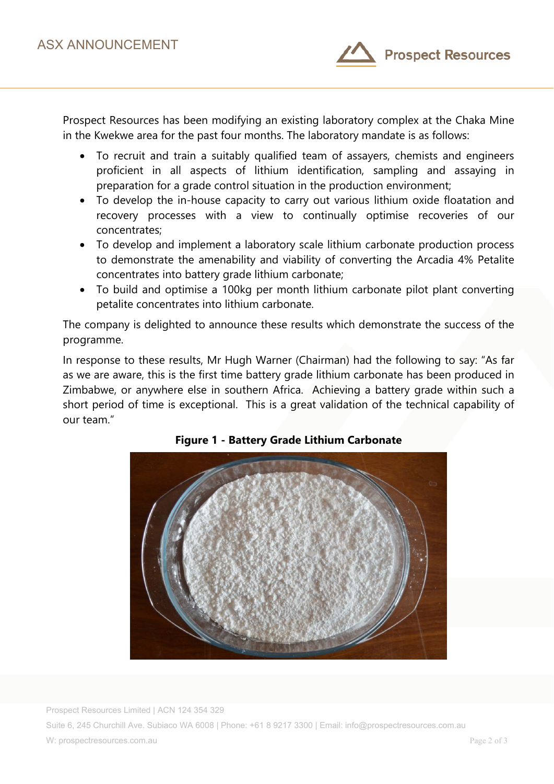

Prospect Resources has been modifying an existing laboratory complex at the Chaka Mine in the Kwekwe area for the past four months. The laboratory mandate is as follows:

- To recruit and train a suitably qualified team of assayers, chemists and engineers proficient in all aspects of lithium identification, sampling and assaying in preparation for a grade control situation in the production environment;
- To develop the in-house capacity to carry out various lithium oxide floatation and recovery processes with a view to continually optimise recoveries of our concentrates;
- To develop and implement a laboratory scale lithium carbonate production process to demonstrate the amenability and viability of converting the Arcadia 4% Petalite concentrates into battery grade lithium carbonate;
- To build and optimise a 100kg per month lithium carbonate pilot plant converting petalite concentrates into lithium carbonate.

The company is delighted to announce these results which demonstrate the success of the programme.

In response to these results, Mr Hugh Warner (Chairman) had the following to say: "As far as we are aware, this is the first time battery grade lithium carbonate has been produced in Zimbabwe, or anywhere else in southern Africa. Achieving a battery grade within such a short period of time is exceptional. This is a great validation of the technical capability of our team."



### **Figure 1 - Battery Grade Lithium Carbonate**

Prospect Resources Limited | ACN 124 354 329 Suite 6, 245 Churchill Ave. Subiaco WA 6008 | Phone: +61 8 9217 3300 | Email: info@prospectresources.com.au W: prospectresources.com.au Page 2 of 3